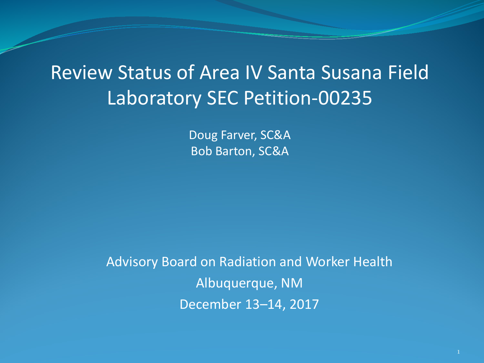# Review Status of Area IV Santa Susana Field Laboratory SEC Petition-00235

Doug Farver, SC&A Bob Barton, SC&A

Advisory Board on Radiation and Worker Health Albuquerque, NM December 13–14, 2017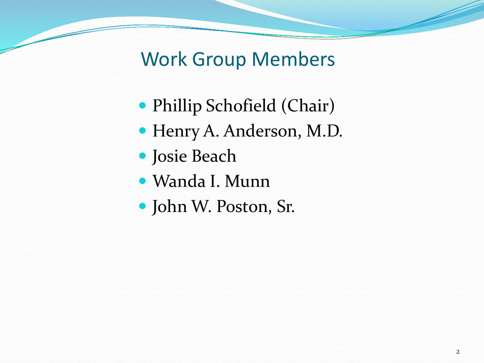Work Group Members

- Phillip Schofield (Chair)
- Henry A. Anderson, M.D.
- Josie Beach
- Wanda I. Munn
- John W. Poston, Sr.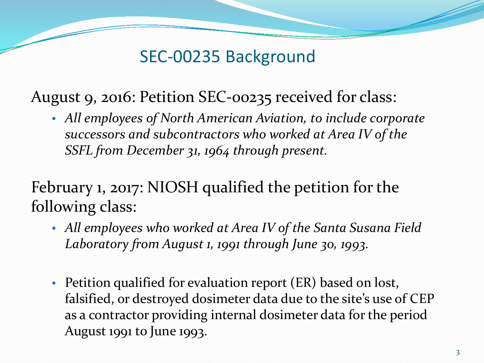### SEC-00235 Background

August 9, 2016: Petition SEC-00235 received for class:

• *All employees of North American Aviation, to include corporate successors and subcontractors who worked at Area IV of the SSFL from December 31, 1964 through present.*

February 1, 2017: NIOSH qualified the petition for the following class:

- *All employees who worked at Area IV of the Santa Susana Field Laboratory from August 1, 1991 through June 30, 1993*.
- Petition qualified for evaluation report (ER) based on lost, falsified, or destroyed dosimeter data due to the site's use of CEP as a contractor providing internal dosimeter data for the period August 1991 to June 1993.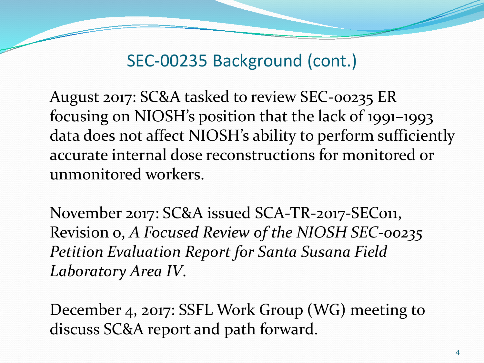SEC-00235 Background (cont.)

August 2017: SC&A tasked to review SEC-00235 ER focusing on NIOSH's position that the lack of 1991–1993 data does not affect NIOSH's ability to perform sufficiently accurate internal dose reconstructions for monitored or unmonitored workers.

November 2017: SC&A issued SCA-TR-2017-SEC011, Revision 0, *A Focused Review of the NIOSH SEC-00235 Petition Evaluation Report for Santa Susana Field Laboratory Area IV*.

December 4, 2017: SSFL Work Group (WG) meeting to discuss SC&A report and path forward.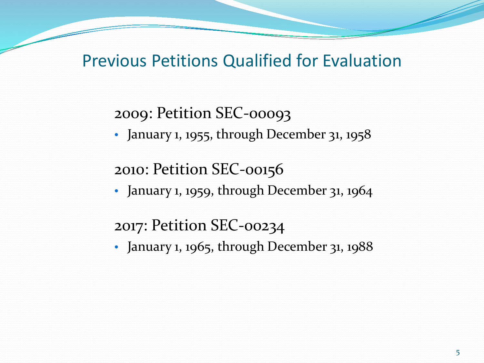#### Previous Petitions Qualified for Evaluation

2009: Petition SEC-00093

• January 1, 1955, through December 31, 1958

#### 2010: Petition SEC-00156

• January 1, 1959, through December 31, 1964

#### 2017: Petition SEC-00234

• January 1, 1965, through December 31, 1988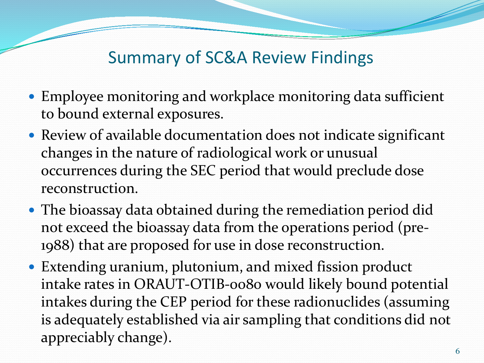# Summary of SC&A Review Findings

- Employee monitoring and workplace monitoring data sufficient to bound external exposures.
- Review of available documentation does not indicate significant changes in the nature of radiological work or unusual occurrences during the SEC period that would preclude dose reconstruction.
- The bioassay data obtained during the remediation period did not exceed the bioassay data from the operations period (pre-1988) that are proposed for use in dose reconstruction.
- Extending uranium, plutonium, and mixed fission product intake rates in ORAUT-OTIB-0080 would likely bound potential intakes during the CEP period for these radionuclides (assuming is adequately established via air sampling that conditions did not appreciably change).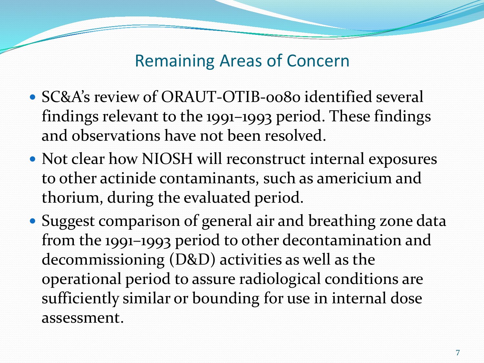#### Remaining Areas of Concern

- SC&A's review of ORAUT-OTIB-0080 identified several findings relevant to the 1991–1993 period. These findings and observations have not been resolved.
- Not clear how NIOSH will reconstruct internal exposures to other actinide contaminants, such as americium and thorium, during the evaluated period.
- Suggest comparison of general air and breathing zone data from the 1991–1993 period to other decontamination and decommissioning (D&D) activities as well as the operational period to assure radiological conditions are sufficiently similar or bounding for use in internal dose assessment.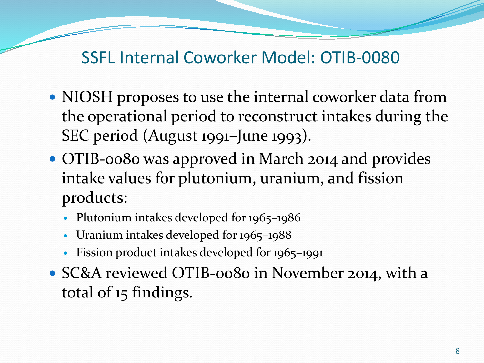### SSFL Internal Coworker Model: OTIB-0080

- NIOSH proposes to use the internal coworker data from the operational period to reconstruct intakes during the SEC period (August 1991–June 1993).
- OTIB-0080 was approved in March 2014 and provides intake values for plutonium, uranium, and fission products:
	- Plutonium intakes developed for 1965–1986
	- Uranium intakes developed for 1965–1988
	- Fission product intakes developed for 1965–1991
- SC&A reviewed OTIB-0080 in November 2014, with a total of 15 findings.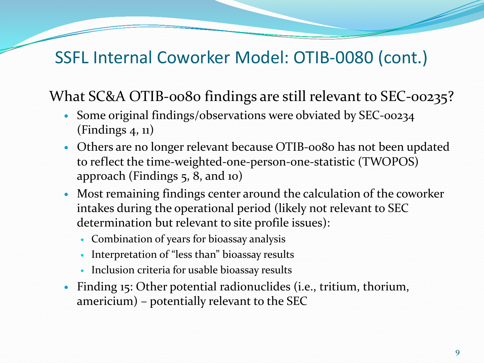# SSFL Internal Coworker Model: OTIB-0080 (cont.)

#### What SC&A OTIB-0080 findings are still relevant to SEC-00235?

- Some original findings/observations were obviated by SEC-00234 (Findings 4, 11)
- Others are no longer relevant because OTIB-0080 has not been updated to reflect the time-weighted-one-person-one-statistic (TWOPOS) approach (Findings 5, 8, and 10)
- Most remaining findings center around the calculation of the coworker intakes during the operational period (likely not relevant to SEC determination but relevant to site profile issues):
	- Combination of years for bioassay analysis
	- Interpretation of "less than" bioassay results
	- Inclusion criteria for usable bioassay results
- Finding 15: Other potential radionuclides (i.e., tritium, thorium, americium) – potentially relevant to the SEC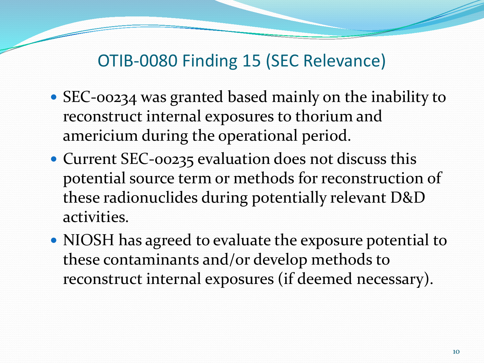# OTIB-0080 Finding 15 (SEC Relevance)

- SEC-00234 was granted based mainly on the inability to reconstruct internal exposures to thorium and americium during the operational period.
- Current SEC-00235 evaluation does not discuss this potential source term or methods for reconstruction of these radionuclides during potentially relevant D&D activities.
- NIOSH has agreed to evaluate the exposure potential to these contaminants and/or develop methods to reconstruct internal exposures (if deemed necessary).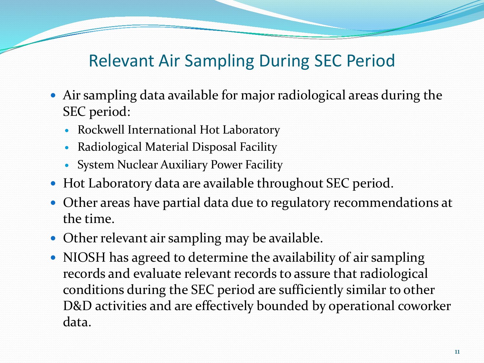# Relevant Air Sampling During SEC Period

- Air sampling data available for major radiological areas during the SEC period:
	- Rockwell International Hot Laboratory
	- Radiological Material Disposal Facility
	- System Nuclear Auxiliary Power Facility
- Hot Laboratory data are available throughout SEC period.
- Other areas have partial data due to regulatory recommendations at the time.
- Other relevant air sampling may be available.
- NIOSH has agreed to determine the availability of air sampling records and evaluate relevant records to assure that radiological conditions during the SEC period are sufficiently similar to other D&D activities and are effectively bounded by operational coworker data.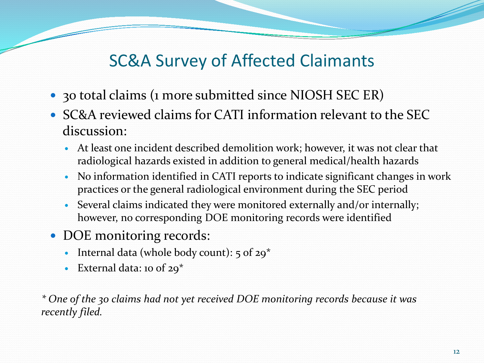# SC&A Survey of Affected Claimants

- 30 total claims (1 more submitted since NIOSH SEC ER)
- SC&A reviewed claims for CATI information relevant to the SEC discussion:
	- At least one incident described demolition work; however, it was not clear that radiological hazards existed in addition to general medical/health hazards
	- No information identified in CATI reports to indicate significant changes in work practices or the general radiological environment during the SEC period
	- Several claims indicated they were monitored externally and/or internally; however, no corresponding DOE monitoring records were identified
- DOE monitoring records:
	- Internal data (whole body count): 5 of 29\*
	- External data: 10 of 29\*

*\* One of the 30 claims had not yet received DOE monitoring records because it was recently filed.*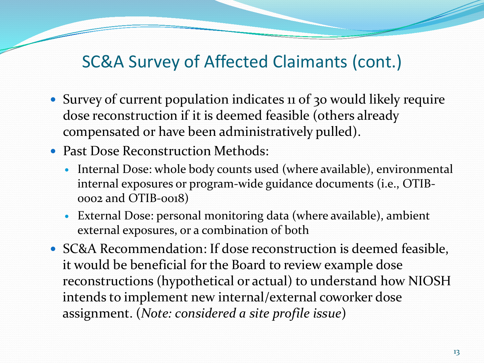### SC&A Survey of Affected Claimants (cont.)

- Survey of current population indicates 11 of 30 would likely require dose reconstruction if it is deemed feasible (others already compensated or have been administratively pulled).
- Past Dose Reconstruction Methods:
	- Internal Dose: whole body counts used (where available), environmental internal exposures or program-wide guidance documents (i.e., OTIB-0002 and OTIB-0018)
	- External Dose: personal monitoring data (where available), ambient external exposures, or a combination of both
- SC&A Recommendation: If dose reconstruction is deemed feasible, it would be beneficial for the Board to review example dose reconstructions (hypothetical or actual) to understand how NIOSH intends to implement new internal/external coworker dose assignment. (*Note: considered a site profile issue*)